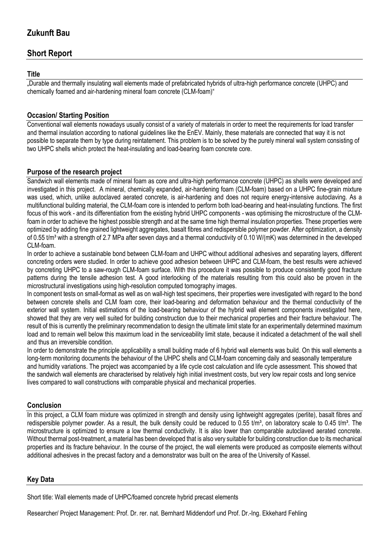# **Zukunft Bau**

# **Short Report**

### **Title**

"Durable and thermally insulating wall elements made of prefabricated hybrids of ultra-high performance concrete (UHPC) and chemically foamed and air-hardening mineral foam concrete (CLM-foam)"

### **Occasion/ Starting Position**

Conventional wall elements nowadays usually consist of a variety of materials in order to meet the requirements for load transfer and thermal insulation according to national guidelines like the EnEV. Mainly, these materials are connected that way it is not possible to separate them by type during reintatement. This problem is to be solved by the purely mineral wall system consisting of two UHPC shells which protect the heat-insulating and load-bearing foam concrete core.

### **Purpose of the research project**

Sandwich wall elements made of mineral foam as core and ultra-high performance concrete (UHPC) as shells were developed and investigated in this project. A mineral, chemically expanded, air-hardening foam (CLM-foam) based on a UHPC fine-grain mixture was used, which, unlike autoclaved aerated concrete, is air-hardening and does not require energy-intensive autoclaving. As a multifunctional building material, the CLM-foam core is intended to perform both load-bearing and heat-insulating functions. The first focus of this work - and its differentiation from the existing hybrid UHPC components - was optimising the microstructure of the CLMfoam in order to achieve the highest possible strength and at the same time high thermal insulation properties. These properties were optimized by adding fine grained lightweight aggregates, basalt fibres and redispersible polymer powder. After optimization, a density of 0.55 t/m<sup>3</sup> with a strength of 2.7 MPa after seven days and a thermal conductivity of 0.10 W/(mK) was determined in the developed CLM-foam.

In order to achieve a sustainable bond between CLM-foam and UHPC without additional adhesives and separating layers, different concreting orders were studied. In order to achieve good adhesion between UHPC and CLM-foam, the best results were achieved by concreting UHPC to a saw-rough CLM-foam surface. With this procedure it was possible to produce consistently good fracture patterns during the tensile adhesion test. A good interlocking of the materials resulting from this could also be proven in the microstructural investigations using high-resolution computed tomography images.

In component tests on small-format as well as on wall-high test specimens, their properties were investigated with regard to the bond between concrete shells and CLM foam core, their load-bearing and deformation behaviour and the thermal conductivity of the exterior wall system. Initial estimations of the load-bearing behaviour of the hybrid wall element components investigated here, showed that they are very well suited for building construction due to their mechanical properties and their fracture behaviour. The result of this is currently the preliminary recommendation to design the ultimate limit state for an experimentally determined maximum load and to remain well below this maximum load in the serviceability limit state, because it indicated a detachment of the wall shell and thus an irreversible condition.

In order to demonstrate the principle applicability a small building made of 6 hybrid wall elements was build. On this wall elements a long-term monitoring documents the behaviour of the UHPC shells and CLM-foam concerning daily and seasonally temperature and humidity variations. The project was accompanied by a life cycle cost calculation and life cycle assessment. This showed that the sandwich wall elements are characterised by relatively high initial investment costs, but very low repair costs and long service lives compared to wall constructions with comparable physical and mechanical properties.

#### **Conclusion**

In this project, a CLM foam mixture was optimized in strength and density using lightweight aggregates (perlite), basalt fibres and redispersible polymer powder. As a result, the bulk density could be reduced to 0.55 t/m<sup>3</sup>, on laboratory scale to 0.45 t/m<sup>3</sup>. The microstructure is optimized to ensure a low thermal conductivity. It is also lower than comparable autoclaved aerated concrete. Without thermal post-treatment, a material has been developed that is also very suitable for building construction due to its mechanical properties and its fracture behaviour. In the course of the project, the wall elements were produced as composite elements without additional adhesives in the precast factory and a demonstrator was built on the area of the University of Kassel.

#### **Key Data**

Short title: Wall elements made of UHPC/foamed concrete hybrid precast elements

Researcher/ Project Management: Prof. Dr. rer. nat. Bernhard Middendorf und Prof. Dr.-Ing. Ekkehard Fehling